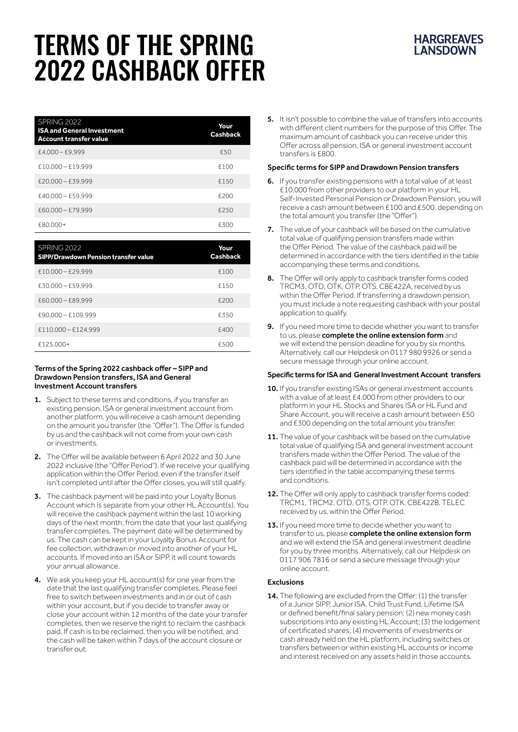# TERMS OF THE SPRING 2022 CASHBACK OFFER

| SPRING 2022<br><b>ISA and General Investment</b><br><b>Account transfer value</b> | Your<br><b>Cashback</b> |
|-----------------------------------------------------------------------------------|-------------------------|
| $E4.000 - E9.999$                                                                 | £50                     |
| $£10.000 - £19.999$                                                               | £100                    |
| $E20.000 - E39.999$                                                               | £150                    |
| $£40.000 - £59.999$                                                               | £200                    |
| £60,000 - £79,999                                                                 | £250                    |
| £80.000+                                                                          | £300                    |

| SPRING 2022<br><b>SIPP/Drawdown Pension transfer value</b> | Your<br><b>Cashback</b> |
|------------------------------------------------------------|-------------------------|
| $£10.000 - £29.999$                                        | £100                    |
| $£30.000 - £59.999$                                        | £150                    |
| £60,000 - £89,999                                          | £200                    |
| £90.000 - £109.999                                         | £350                    |
| £110,000 - £124,999                                        | £400                    |
| £125.000+                                                  | F500                    |

#### Terms of the Spring 2022 cashback offer – SIPP and Drawdown Pension transfers, ISA and General Investment Account transfers

- 1. Subject to these terms and conditions, if you transfer an existing pension, ISA or general investment account from another platform, you will receive a cash amount depending on the amount you transfer (the "Offer"). The Offer is funded by us and the cashback will not come from your own cash or investments.
- 2. The Offer will be available between 6 April 2022 and 30 June 2022 inclusive (the "Offer Period"). If we receive your qualifying application within the Offer Period, even if the transfer itself isn't completed until after the Offer closes, you will still qualify.
- 3. The cashback payment will be paid into your Loyalty Bonus Account which is separate from your other HL Account(s). You will receive the cashback payment within the last 10 working days of the next month, from the date that your last qualifying transfer completes. The payment date will be determined by us. The cash can be kept in your Loyalty Bonus Account for fee collection, withdrawn or moved into another of your HL accounts. If moved into an ISA or SIPP, it will count towards your annual allowance.
- 4. We ask you keep your HL account(s) for one year from the date that the last qualifying transfer completes. Please feel free to switch between investments and in or out of cash within your account, but if you decide to transfer away or close your account within 12 months of the date your transfer completes, then we reserve the right to reclaim the cashback paid. If cash is to be reclaimed, then you will be notified, and the cash will be taken within 7 days of the account closure or transfer out.

5. It isn't possible to combine the value of transfers into accounts with different client numbers for the purpose of this Offer. The maximum amount of cashback you can receive under this Offer across all pension, ISA or general investment account transfers is £800.

## Specific terms for SIPP and Drawdown Pension transfers

- 6. If you transfer existing pensions with a total value of at least £10,000 from other providers to our platform in your HL Self-Invested Personal Pension or Drawdown Pension, you will receive a cash amount between £100 and £500, depending on the total amount you transfer (the "Offer").
- 7. The value of your cashback will be based on the cumulative total value of qualifying pension transfers made within the Offer Period. The value of the cashback paid will be determined in accordance with the tiers identified in the table accompanying these terms and conditions.
- 8. The Offer will only apply to cashback transfer forms coded TRCM3, OTD, OTK, OTP, OTS, CBE422A, received by us within the Offer Period. If transferring a drawdown pension, you must include a note requesting cashback with your postal application to qualify.
- 9. If you need more time to decide whether you want to transfer to us, please [complete the online extension form](https://www.hl.co.uk/investment-services/transferring-your-existing-investments/cash-back-offer-extension) and we will extend the pension deadline for you by six months. Alternatively, call our Helpdesk on 0117 980 9926 or send a secure message through your online account.

### Specific terms for ISA and General Investment Account transfers

- 10. If you transfer existing ISAs or general investment accounts with a value of at least £4,000 from other providers to our platform in your HL Stocks and Shares ISA or HL Fund and Share Account, you will receive a cash amount between £50 and £300 depending on the total amount you transfer.
- 11. The value of your cashback will be based on the cumulative total value of qualifying ISA and general investment account transfers made within the Offer Period. The value of the cashback paid will be determined in accordance with the tiers identified in the table accompanying these terms and conditions.
- 12. The Offer will only apply to cashback transfer forms coded: TRCM1, TRCM2, OTD, OTS, OTP, OTK, CBE422B, TELEC received by us, within the Offer Period.
- 13. If you need more time to decide whether you want to transfer to us, please [complete the online extension form](https://www.hl.co.uk/investment-services/transferring-your-existing-investments/cash-back-offer-extension-investments) and we will extend the ISA and general investment deadline for you by three months. Alternatively, call our Helpdesk on 0117 906 7816 or send a secure message through your online account.

### Exclusions

14. The following are excluded from the Offer: (1) the transfer of a Junior SIPP, Junior ISA, Child Trust Fund, Lifetime ISA or defined benefit/final salary pension; (2) new money cash subscriptions into any existing HL Account; (3) the lodgement of certificated shares; (4) movements of investments or cash already held on the HL platform, including switches or transfers between or within existing HL accounts or income and interest received on any assets held in those accounts.